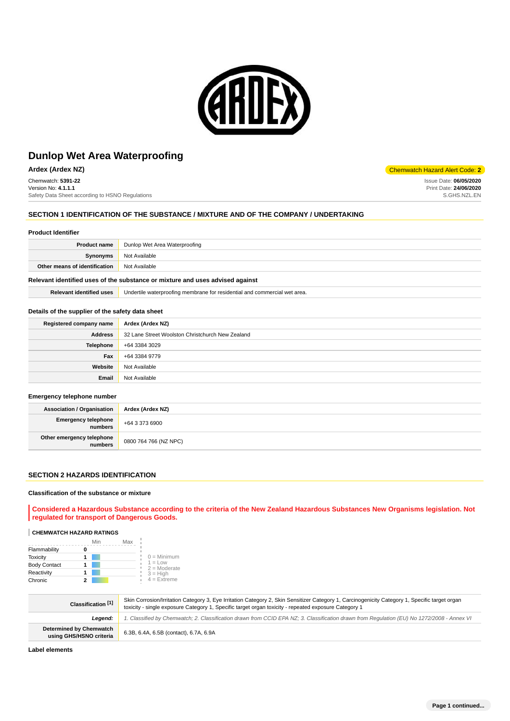

**Ardex (Ardex NZ)** Chemwatch Hazard Alert Code: **2** 

Chemwatch: **5391-22** Version No: **4.1.1.1** Safety Data Sheet according to HSNO Regulations

# **SECTION 1 IDENTIFICATION OF THE SUBSTANCE / MIXTURE AND OF THE COMPANY / UNDERTAKING**

### **Product Identifier**

| <b>Product name</b>           | Dunlop Wet Area Waterproofing |
|-------------------------------|-------------------------------|
| Synonyms                      | Not Available                 |
| Other means of identification | Not Available                 |
|                               |                               |

# **Relevant identified uses of the substance or mixture and uses advised against**

**Relevant identified uses** Undertile waterproofing membrane for residential and commercial wet area.

### **Details of the supplier of the safety data sheet**

| Registered company name | Ardex (Ardex NZ)                                 |
|-------------------------|--------------------------------------------------|
| <b>Address</b>          | 32 Lane Street Woolston Christchurch New Zealand |
| <b>Telephone</b>        | +64 3384 3029                                    |
| Fax                     | +64 3384 9779                                    |
| Website                 | Not Available                                    |
| Email                   | Not Available                                    |

### **Emergency telephone number**

| <b>Association / Organisation</b>            | Ardex (Ardex NZ)      |
|----------------------------------------------|-----------------------|
| <b>Emergency telephone</b><br><b>numbers</b> | +64 3 373 6900        |
| Other emergency telephone<br>  numbers       | 0800 764 766 (NZ NPC) |

## **SECTION 2 HAZARDS IDENTIFICATION**

### **Classification of the substance or mixture**

**Considered a Hazardous Substance according to the criteria of the New Zealand Hazardous Substances New Organisms legislation. Not regulated for transport of Dangerous Goods.**

# **CHEMWATCH HAZARD RATINGS**

|                     | Min | Max                         |
|---------------------|-----|-----------------------------|
| Flammability        |     |                             |
| <b>Toxicity</b>     |     | $0 =$ Minimum               |
| <b>Body Contact</b> |     | $1 = Low$<br>$2 =$ Moderate |
| Reactivity          |     | $3 = High$                  |
| Chronic             |     | $4 = Ex$ treme              |

| Classification [1]                                        | Skin Corrosion/Irritation Category 3, Eye Irritation Category 2, Skin Sensitizer Category 1, Carcinogenicity Category 1, Specific target organ<br>toxicity - single exposure Category 1, Specific target organ toxicity - repeated exposure Category 1 |
|-----------------------------------------------------------|--------------------------------------------------------------------------------------------------------------------------------------------------------------------------------------------------------------------------------------------------------|
| Leaend:                                                   | 1. Classified by Chemwatch; 2. Classification drawn from CCID EPA NZ; 3. Classification drawn from Requlation (EU) No 1272/2008 - Annex VI                                                                                                             |
| <b>Determined by Chemwatch</b><br>using GHS/HSNO criteria | 6.3B, 6.4A, 6.5B (contact), 6.7A, 6.9A                                                                                                                                                                                                                 |

**Label elements**

Issue Date: **06/05/2020** Print Date: **24/06/2020** S.GHS.NZL.EN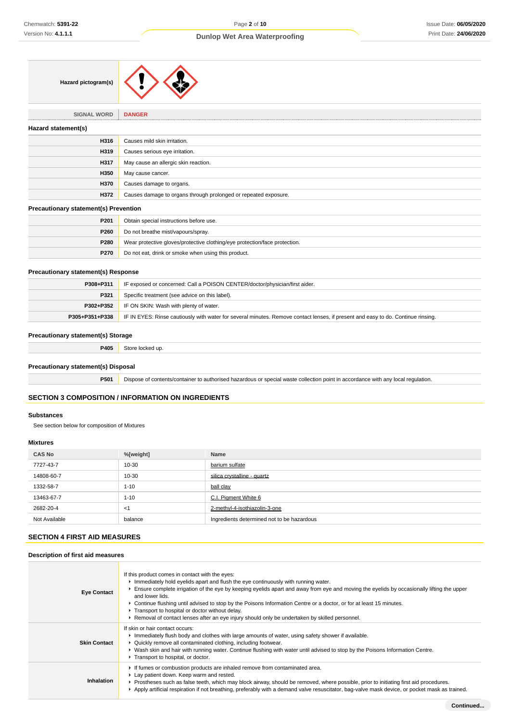| Hazard pictogram(s) |  |  |
|---------------------|--|--|
|---------------------|--|--|

**SIGNAL WORD DANGER**

# **Hazard statement(s) H316** Causes mild skin irritation. **H319** Causes serious eye irritation. **H317** May cause an allergic skin reaction. **H350** May cause cancer. **H370** Causes damage to organs. **H372** Causes damage to organs through prolonged or repeated exposure.

# **Precautionary statement(s) Prevention**

| P201        | Obtain special instructions before use.                                    |
|-------------|----------------------------------------------------------------------------|
| <b>P260</b> | Do not breathe mist/vapours/spray.                                         |
| <b>P280</b> | Wear protective gloves/protective clothing/eye protection/face protection. |
| <b>P270</b> | Do not eat, drink or smoke when using this product.                        |

# **Precautionary statement(s) Response**

| P308+P311 | IF exposed or concerned: Call a POISON CENTER/doctor/physician/first aider.                                                                       |  |
|-----------|---------------------------------------------------------------------------------------------------------------------------------------------------|--|
| P321      | Specific treatment (see advice on this label).                                                                                                    |  |
|           | <b>P302+P352</b> IF ON SKIN: Wash with plenty of water.                                                                                           |  |
|           | P305+P351+P338   IF IN EYES: Rinse cautiously with water for several minutes. Remove contact lenses, if present and easy to do. Continue rinsing. |  |

# **Precautionary statement(s) Storage**

**P405** Store locked up.

# **Precautionary statement(s) Disposal**

**P501** Dispose of contents/container to authorised hazardous or special waste collection point in accordance with any local regulation.

# **SECTION 3 COMPOSITION / INFORMATION ON INGREDIENTS**

### **Substances**

See section below for composition of Mixtures

### **Mixtures**

| <b>CAS No</b> | %[weight] | Name                                       |
|---------------|-----------|--------------------------------------------|
| 7727-43-7     | 10-30     | barium sulfate                             |
| 14808-60-7    | 10-30     | silica crystalline - quartz                |
| 1332-58-7     | $1 - 10$  | ball clay                                  |
| 13463-67-7    | $1 - 10$  | C.I. Pigment White 6                       |
| 2682-20-4     | $<$ 1     | 2-methyl-4-isothiazolin-3-one              |
| Not Available | balance   | Ingredients determined not to be hazardous |

# **SECTION 4 FIRST AID MEASURES**

## **Description of first aid measures**

| <b>Eye Contact</b>  | If this product comes in contact with the eyes:<br>Immediately hold eyelids apart and flush the eye continuously with running water.<br>Ensure complete irrigation of the eye by keeping eyelids apart and away from eye and moving the eyelids by occasionally lifting the upper<br>and lower lids.<br>▶ Continue flushing until advised to stop by the Poisons Information Centre or a doctor, or for at least 15 minutes.<br>Transport to hospital or doctor without delay.<br>▶ Removal of contact lenses after an eye injury should only be undertaken by skilled personnel. |
|---------------------|-----------------------------------------------------------------------------------------------------------------------------------------------------------------------------------------------------------------------------------------------------------------------------------------------------------------------------------------------------------------------------------------------------------------------------------------------------------------------------------------------------------------------------------------------------------------------------------|
| <b>Skin Contact</b> | If skin or hair contact occurs:<br>Immediately flush body and clothes with large amounts of water, using safety shower if available.<br>• Quickly remove all contaminated clothing, including footwear.<br>▶ Wash skin and hair with running water. Continue flushing with water until advised to stop by the Poisons Information Centre.<br>Transport to hospital, or doctor.                                                                                                                                                                                                    |
| Inhalation          | If fumes or combustion products are inhaled remove from contaminated area.<br>Lay patient down. Keep warm and rested.<br>► Prostheses such as false teeth, which may block airway, should be removed, where possible, prior to initiating first aid procedures.<br>Apply artificial respiration if not breathing, preferably with a demand valve resuscitator, bag-valve mask device, or pocket mask as trained.                                                                                                                                                                  |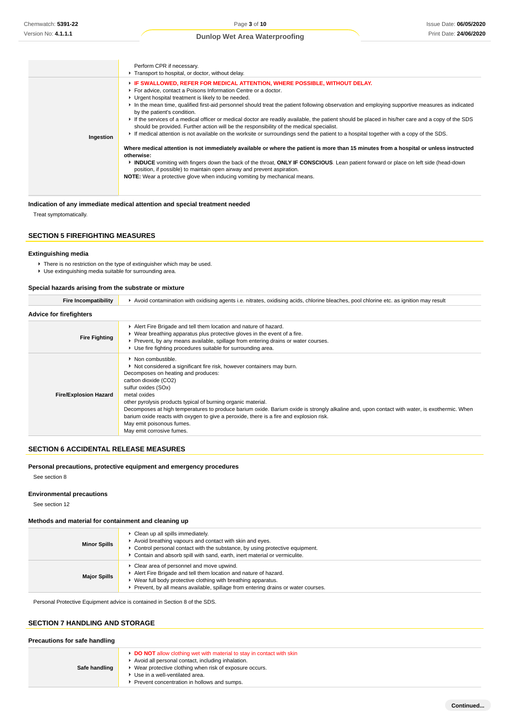|           | Perform CPR if necessary.<br>Transport to hospital, or doctor, without delay.                                                                                                                                                                                                                                                                                                                                                                                                                                                                                                                                                                                                                                                                                                                                                                                                                                                                                                                                                                                                                                                                                                                                                         |
|-----------|---------------------------------------------------------------------------------------------------------------------------------------------------------------------------------------------------------------------------------------------------------------------------------------------------------------------------------------------------------------------------------------------------------------------------------------------------------------------------------------------------------------------------------------------------------------------------------------------------------------------------------------------------------------------------------------------------------------------------------------------------------------------------------------------------------------------------------------------------------------------------------------------------------------------------------------------------------------------------------------------------------------------------------------------------------------------------------------------------------------------------------------------------------------------------------------------------------------------------------------|
| Ingestion | F IF SWALLOWED, REFER FOR MEDICAL ATTENTION, WHERE POSSIBLE, WITHOUT DELAY.<br>For advice, contact a Poisons Information Centre or a doctor.<br>• Urgent hospital treatment is likely to be needed.<br>In the mean time, qualified first-aid personnel should treat the patient following observation and employing supportive measures as indicated<br>by the patient's condition.<br>If the services of a medical officer or medical doctor are readily available, the patient should be placed in his/her care and a copy of the SDS<br>should be provided. Further action will be the responsibility of the medical specialist.<br>► If medical attention is not available on the worksite or surroundings send the patient to a hospital together with a copy of the SDS.<br>Where medical attention is not immediately available or where the patient is more than 15 minutes from a hospital or unless instructed<br>otherwise:<br>► INDUCE vomiting with fingers down the back of the throat, ONLY IF CONSCIOUS. Lean patient forward or place on left side (head-down<br>position, if possible) to maintain open airway and prevent aspiration.<br>NOTE: Wear a protective glove when inducing vomiting by mechanical means. |

# **Indication of any immediate medical attention and special treatment needed**

Treat symptomatically.

# **SECTION 5 FIREFIGHTING MEASURES**

### **Extinguishing media**

▶ There is no restriction on the type of extinguisher which may be used.

Use extinguishing media suitable for surrounding area.

### **Special hazards arising from the substrate or mixture**

| <b>Fire Incompatibility</b>    | ▶ Avoid contamination with oxidising agents i.e. nitrates, oxidising acids, chlorine bleaches, pool chlorine etc. as ignition may result                                                                                                                                                                                                                                                                                                                                                                                                                                 |
|--------------------------------|--------------------------------------------------------------------------------------------------------------------------------------------------------------------------------------------------------------------------------------------------------------------------------------------------------------------------------------------------------------------------------------------------------------------------------------------------------------------------------------------------------------------------------------------------------------------------|
| <b>Advice for firefighters</b> |                                                                                                                                                                                                                                                                                                                                                                                                                                                                                                                                                                          |
| <b>Fire Fighting</b>           | Alert Fire Brigade and tell them location and nature of hazard.<br>▶ Wear breathing apparatus plus protective gloves in the event of a fire.<br>► Prevent, by any means available, spillage from entering drains or water courses.<br>▶ Use fire fighting procedures suitable for surrounding area.                                                                                                                                                                                                                                                                      |
| <b>Fire/Explosion Hazard</b>   | • Non combustible.<br>▶ Not considered a significant fire risk, however containers may burn.<br>Decomposes on heating and produces:<br>carbon dioxide (CO2)<br>sulfur oxides (SOx)<br>metal oxides<br>other pyrolysis products typical of burning organic material.<br>Decomposes at high temperatures to produce barium oxide. Barium oxide is strongly alkaline and, upon contact with water, is exothermic. When<br>barium oxide reacts with oxygen to give a peroxide, there is a fire and explosion risk.<br>May emit poisonous fumes.<br>May emit corrosive fumes. |

# **SECTION 6 ACCIDENTAL RELEASE MEASURES**

# **Personal precautions, protective equipment and emergency procedures**

See section 8

### **Environmental precautions**

See section 12

### **Methods and material for containment and cleaning up**

| <b>Minor Spills</b> | Clean up all spills immediately.<br>Avoid breathing vapours and contact with skin and eyes.<br>$\blacktriangleright$ Control personal contact with the substance, by using protective equipment.<br>Contain and absorb spill with sand, earth, inert material or vermiculite. |
|---------------------|-------------------------------------------------------------------------------------------------------------------------------------------------------------------------------------------------------------------------------------------------------------------------------|
| <b>Major Spills</b> | Clear area of personnel and move upwind.<br>Alert Fire Brigade and tell them location and nature of hazard.<br>Wear full body protective clothing with breathing apparatus.<br>Prevent, by all means available, spillage from entering drains or water courses.               |

Personal Protective Equipment advice is contained in Section 8 of the SDS.

# **SECTION 7 HANDLING AND STORAGE**

# **Precautions for safe handling**

| Safe handling | <b>DO NOT</b> allow clothing wet with material to stay in contact with skin<br>Avoid all personal contact, including inhalation.<br>► Wear protective clothing when risk of exposure occurs.<br>▶ Use in a well-ventilated area.<br>Prevent concentration in hollows and sumps. |
|---------------|---------------------------------------------------------------------------------------------------------------------------------------------------------------------------------------------------------------------------------------------------------------------------------|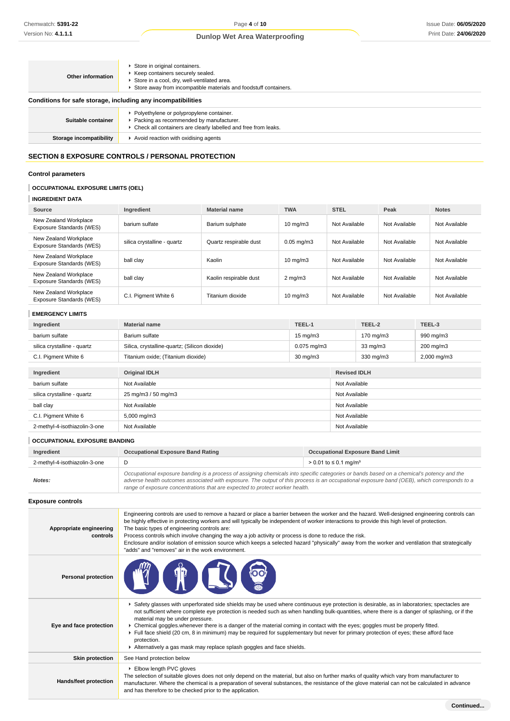| Other information                                            | Store in original containers.<br>▶ Keep containers securely sealed.<br>Store in a cool, dry, well-ventilated area.<br>Store away from incompatible materials and foodstuff containers. |  |
|--------------------------------------------------------------|----------------------------------------------------------------------------------------------------------------------------------------------------------------------------------------|--|
| Conditions for safe storage, including any incompatibilities |                                                                                                                                                                                        |  |
| Suitable container                                           | ▶ Polyethylene or polypropylene container.<br>Packing as recommended by manufacturer.<br>• Check all containers are clearly labelled and free from leaks.                              |  |
| Storage incompatibility                                      | Avoid reaction with oxidising agents                                                                                                                                                   |  |

# **SECTION 8 EXPOSURE CONTROLS / PERSONAL PROTECTION**

# **Control parameters**

# **OCCUPATIONAL EXPOSURE LIMITS (OEL)**

# **INGREDIENT DATA**

| Source                                            | Ingredient                  | <b>Material name</b>   | <b>TWA</b>        | <b>STEL</b>   | Peak          | <b>Notes</b>  |
|---------------------------------------------------|-----------------------------|------------------------|-------------------|---------------|---------------|---------------|
| New Zealand Workplace<br>Exposure Standards (WES) | barium sulfate              | Barium sulphate        | $10 \text{ mg/m}$ | Not Available | Not Available | Not Available |
| New Zealand Workplace<br>Exposure Standards (WES) | silica crystalline - quartz | Quartz respirable dust | $0.05$ mg/m $3$   | Not Available | Not Available | Not Available |
| New Zealand Workplace<br>Exposure Standards (WES) | ball clay                   | Kaolin                 | $10 \text{ mg/m}$ | Not Available | Not Available | Not Available |
| New Zealand Workplace<br>Exposure Standards (WES) | ball clay                   | Kaolin respirable dust | $2 \text{ mg/m}$  | Not Available | Not Available | Not Available |
| New Zealand Workplace<br>Exposure Standards (WES) | C.I. Pigment White 6        | Titanium dioxide       | $10 \text{ mg/m}$ | Not Available | Not Available | Not Available |

# **EMERGENCY LIMITS**

| Ingredient                    | <b>Material name</b>                          | TEEL-1            |                     | TEEL-2            | TEEL-3                  |
|-------------------------------|-----------------------------------------------|-------------------|---------------------|-------------------|-------------------------|
| barium sulfate                | Barium sulfate                                | $15 \text{ mg/m}$ |                     | 170 mg/m3         | 990 mg/m3               |
| silica crystalline - quartz   | Silica, crystalline-quartz; (Silicon dioxide) | $0.075$ mg/m $3$  |                     | $33 \text{ mg/m}$ | 200 mg/m3               |
| C.I. Pigment White 6          | Titanium oxide; (Titanium dioxide)            | $30 \text{ mg/m}$ |                     | 330 mg/m3         | $2,000 \,\mathrm{mg/m}$ |
|                               |                                               |                   |                     |                   |                         |
| Ingredient                    | <b>Original IDLH</b>                          |                   | <b>Revised IDLH</b> |                   |                         |
| barium sulfate                | Not Available                                 |                   | Not Available       |                   |                         |
| silica crystalline - quartz   | 25 mg/m3 / 50 mg/m3                           |                   | Not Available       |                   |                         |
| ball clay                     | Not Available                                 |                   | Not Available       |                   |                         |
| C.I. Pigment White 6          | $5,000 \,\mathrm{mg/m}$                       |                   | Not Available       |                   |                         |
| 2-methyl-4-isothiazolin-3-one | Not Available                                 |                   | Not Available       |                   |                         |

# **OCCUPATIONAL EXPOSURE BANDING**

| Ingredient                    | <b>Occupational Exposure Band Rating</b>                                                                                                                                                                                                                                                                                                                                 | <b>Occupational Exposure Band Limit</b> |  |
|-------------------------------|--------------------------------------------------------------------------------------------------------------------------------------------------------------------------------------------------------------------------------------------------------------------------------------------------------------------------------------------------------------------------|-----------------------------------------|--|
| 2-methyl-4-isothiazolin-3-one |                                                                                                                                                                                                                                                                                                                                                                          | > 0.01 to ≤ 0.1 mg/m <sup>3</sup>       |  |
| Notes:                        | Occupational exposure banding is a process of assigning chemicals into specific categories or bands based on a chemical's potency and the<br>adverse health outcomes associated with exposure. The output of this process is an occupational exposure band (OEB), which corresponds to a<br>range of exposure concentrations that are expected to protect worker health. |                                         |  |

# **Exposure controls**

| Appropriate engineering<br>controls | Engineering controls are used to remove a hazard or place a barrier between the worker and the hazard. Well-designed engineering controls can<br>be highly effective in protecting workers and will typically be independent of worker interactions to provide this high level of protection.<br>The basic types of engineering controls are:<br>Process controls which involve changing the way a job activity or process is done to reduce the risk.<br>Enclosure and/or isolation of emission source which keeps a selected hazard "physically" away from the worker and ventilation that strategically<br>"adds" and "removes" air in the work environment.                                     |
|-------------------------------------|-----------------------------------------------------------------------------------------------------------------------------------------------------------------------------------------------------------------------------------------------------------------------------------------------------------------------------------------------------------------------------------------------------------------------------------------------------------------------------------------------------------------------------------------------------------------------------------------------------------------------------------------------------------------------------------------------------|
| <b>Personal protection</b>          |                                                                                                                                                                                                                                                                                                                                                                                                                                                                                                                                                                                                                                                                                                     |
| Eye and face protection             | ▶ Safety glasses with unperforated side shields may be used where continuous eye protection is desirable, as in laboratories; spectacles are<br>not sufficient where complete eye protection is needed such as when handling bulk-quantities, where there is a danger of splashing, or if the<br>material may be under pressure.<br>► Chemical goggles whenever there is a danger of the material coming in contact with the eyes; goggles must be properly fitted.<br>Full face shield (20 cm, 8 in minimum) may be required for supplementary but never for primary protection of eyes; these afford face<br>protection.<br>Alternatively a gas mask may replace splash goggles and face shields. |
| <b>Skin protection</b>              | See Hand protection below                                                                                                                                                                                                                                                                                                                                                                                                                                                                                                                                                                                                                                                                           |
| Hands/feet protection               | Elbow length PVC gloves<br>The selection of suitable gloves does not only depend on the material, but also on further marks of quality which vary from manufacturer to<br>manufacturer. Where the chemical is a preparation of several substances, the resistance of the glove material can not be calculated in advance<br>and has therefore to be checked prior to the application.                                                                                                                                                                                                                                                                                                               |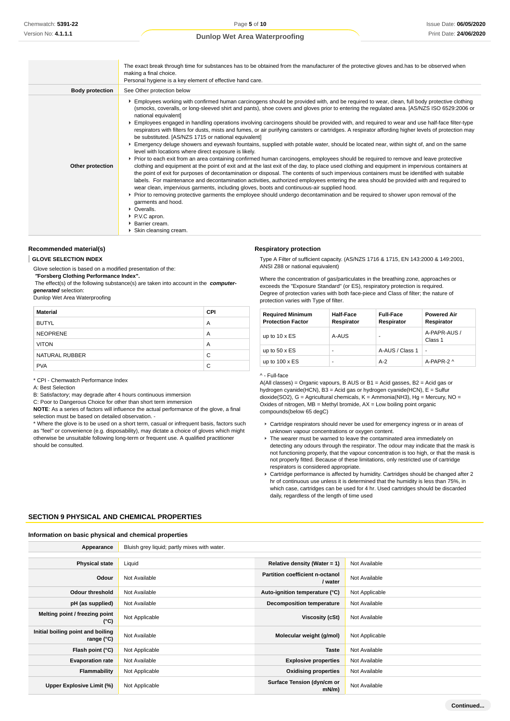|                        | The exact break through time for substances has to be obtained from the manufacturer of the protective gloves and has to be observed when<br>making a final choice.<br>Personal hygiene is a key element of effective hand care.                                                                                                                                                                                                                                                                                                                                                                                                                                                                                                                                                                                                                                                                                                                                                                                                                                                                                                                                                                                                                                                                                                                                                                                                                                                                                                                                                                                                                                                                                                                                                                           |
|------------------------|------------------------------------------------------------------------------------------------------------------------------------------------------------------------------------------------------------------------------------------------------------------------------------------------------------------------------------------------------------------------------------------------------------------------------------------------------------------------------------------------------------------------------------------------------------------------------------------------------------------------------------------------------------------------------------------------------------------------------------------------------------------------------------------------------------------------------------------------------------------------------------------------------------------------------------------------------------------------------------------------------------------------------------------------------------------------------------------------------------------------------------------------------------------------------------------------------------------------------------------------------------------------------------------------------------------------------------------------------------------------------------------------------------------------------------------------------------------------------------------------------------------------------------------------------------------------------------------------------------------------------------------------------------------------------------------------------------------------------------------------------------------------------------------------------------|
| <b>Body protection</b> | See Other protection below                                                                                                                                                                                                                                                                                                                                                                                                                                                                                                                                                                                                                                                                                                                                                                                                                                                                                                                                                                                                                                                                                                                                                                                                                                                                                                                                                                                                                                                                                                                                                                                                                                                                                                                                                                                 |
| Other protection       | Employees working with confirmed human carcinogens should be provided with, and be required to wear, clean, full body protective clothing<br>(smocks, coveralls, or long-sleeved shirt and pants), shoe covers and gloves prior to entering the regulated area. [AS/NZS ISO 6529:2006 or<br>national equivalent]<br>Employees engaged in handling operations involving carcinogens should be provided with, and required to wear and use half-face filter-type<br>respirators with filters for dusts, mists and fumes, or air purifying canisters or cartridges. A respirator affording higher levels of protection may<br>be substituted. [AS/NZS 1715 or national equivalent]<br>Emergency deluge showers and eyewash fountains, supplied with potable water, should be located near, within sight of, and on the same<br>level with locations where direct exposure is likely.<br>▶ Prior to each exit from an area containing confirmed human carcinogens, employees should be required to remove and leave protective<br>clothing and equipment at the point of exit and at the last exit of the day, to place used clothing and equipment in impervious containers at<br>the point of exit for purposes of decontamination or disposal. The contents of such impervious containers must be identified with suitable<br>labels. For maintenance and decontamination activities, authorized employees entering the area should be provided with and required to<br>wear clean, impervious garments, including gloves, boots and continuous-air supplied hood.<br>► Prior to removing protective garments the employee should undergo decontamination and be required to shower upon removal of the<br>garments and hood.<br>• Overalls.<br>▶ P.V.C apron.<br>▶ Barrier cream.<br>Skin cleansing cream. |

# **Recommended material(s)**

**GLOVE SELECTION INDEX**

Glove selection is based on a modified presentation of the:

# **"Forsberg Clothing Performance Index".**

 The effect(s) of the following substance(s) are taken into account in the **computergenerated** selection:

Dunlop Wet Area Waterproofing

| <b>Material</b> | <b>CPI</b> |
|-----------------|------------|
| <b>BUTYL</b>    | A          |
| <b>NEOPRENE</b> | A          |
| <b>VITON</b>    | A          |
| NATURAL RUBBER  | C          |
| <b>PVA</b>      | C          |

\* CPI - Chemwatch Performance Index

A: Best Selection

B: Satisfactory; may degrade after 4 hours continuous immersion

C: Poor to Dangerous Choice for other than short term immersion

**NOTE**: As a series of factors will influence the actual performance of the glove, a final selection must be based on detailed observation. -

\* Where the glove is to be used on a short term, casual or infrequent basis, factors such as "feel" or convenience (e.g. disposability), may dictate a choice of gloves which might otherwise be unsuitable following long-term or frequent use. A qualified practitioner should be consulted.

### **Respiratory protection**

Type A Filter of sufficient capacity. (AS/NZS 1716 & 1715, EN 143:2000 & 149:2001, ANSI Z88 or national equivalent)

Where the concentration of gas/particulates in the breathing zone, approaches or exceeds the "Exposure Standard" (or ES), respiratory protection is required. Degree of protection varies with both face-piece and Class of filter; the nature of protection varies with Type of filter.

| <b>Required Minimum</b><br><b>Protection Factor</b> | <b>Half-Face</b><br>Respirator | <b>Full-Face</b><br>Respirator | <b>Powered Air</b><br>Respirator |
|-----------------------------------------------------|--------------------------------|--------------------------------|----------------------------------|
| up to $10 \times ES$                                | A-AUS                          | ۰                              | A-PAPR-AUS /<br>Class 1          |
| up to $50 \times ES$                                | -                              | A-AUS / Class 1                |                                  |
| up to $100 \times ES$                               | -                              | $A-2$                          | A-PAPR-2 ^                       |

### ^ - Full-face

A(All classes) = Organic vapours, B AUS or B1 = Acid gasses, B2 = Acid gas or hydrogen cyanide(HCN), B3 = Acid gas or hydrogen cyanide(HCN), E = Sulfur  $\frac{d}{dx}$  dioxide(SO2), G = Agricultural chemicals, K = Ammonia(NH3), Hg = Mercury, NO = Oxides of nitrogen, MB = Methyl bromide, AX = Low boiling point organic compounds(below 65 degC)

- Cartridge respirators should never be used for emergency ingress or in areas of unknown vapour concentrations or oxygen content.
- ▶ The wearer must be warned to leave the contaminated area immediately on detecting any odours through the respirator. The odour may indicate that the mask is not functioning properly, that the vapour concentration is too high, or that the mask is not properly fitted. Because of these limitations, only restricted use of cartridge respirators is considered appropriate.
- Cartridge performance is affected by humidity. Cartridges should be changed after 2 hr of continuous use unless it is determined that the humidity is less than 75%, in which case, cartridges can be used for 4 hr. Used cartridges should be discarded daily, regardless of the length of time used

# **SECTION 9 PHYSICAL AND CHEMICAL PROPERTIES**

### **Information on basic physical and chemical properties**

| Appearance                                        | Bluish grey liquid; partly mixes with water. |                                            |                |  |
|---------------------------------------------------|----------------------------------------------|--------------------------------------------|----------------|--|
|                                                   |                                              |                                            |                |  |
| <b>Physical state</b>                             | Liquid                                       | Relative density (Water = $1$ )            | Not Available  |  |
| Odour                                             | Not Available                                | Partition coefficient n-octanol<br>/ water | Not Available  |  |
| <b>Odour threshold</b>                            | Not Available                                | Auto-ignition temperature (°C)             | Not Applicable |  |
| pH (as supplied)                                  | Not Available                                | <b>Decomposition temperature</b>           | Not Available  |  |
| Melting point / freezing point<br>$(^{\circ}C)$   | Not Applicable                               | Viscosity (cSt)                            | Not Available  |  |
| Initial boiling point and boiling<br>range $(°C)$ | Not Available                                | Molecular weight (g/mol)                   | Not Applicable |  |
| Flash point (°C)                                  | Not Applicable                               | <b>Taste</b>                               | Not Available  |  |
| <b>Evaporation rate</b>                           | Not Available                                | <b>Explosive properties</b>                | Not Available  |  |
| Flammability                                      | Not Applicable                               | <b>Oxidising properties</b>                | Not Available  |  |
| Upper Explosive Limit (%)                         | Not Applicable                               | Surface Tension (dyn/cm or<br>mN/m)        | Not Available  |  |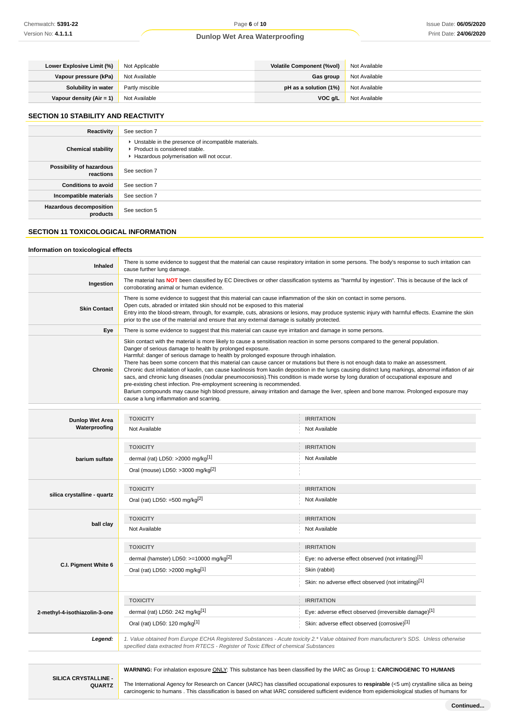| Lower Explosive Limit (%) | Not Applicable  | Volatile Component (%vol) | Not Available |
|---------------------------|-----------------|---------------------------|---------------|
| Vapour pressure (kPa)     | Not Available   | Gas group                 | Not Available |
| Solubility in water       | Partly miscible | pH as a solution $(1%)$   | Not Available |
| Vapour density (Air = 1)  | Not Available   | VOC a/L                   | Not Available |

# **SECTION 10 STABILITY AND REACTIVITY**

| Reactivity                                 | See section 7                                                                                                                        |
|--------------------------------------------|--------------------------------------------------------------------------------------------------------------------------------------|
| <b>Chemical stability</b>                  | • Unstable in the presence of incompatible materials.<br>▶ Product is considered stable.<br>Hazardous polymerisation will not occur. |
| Possibility of hazardous<br>reactions      | See section 7                                                                                                                        |
| <b>Conditions to avoid</b>                 | See section 7                                                                                                                        |
| Incompatible materials                     | See section 7                                                                                                                        |
| <b>Hazardous decomposition</b><br>products | See section 5                                                                                                                        |

# **SECTION 11 TOXICOLOGICAL INFORMATION**

### **Information on toxicological effects**

| Inhaled                                 | There is some evidence to suggest that the material can cause respiratory irritation in some persons. The body's response to such irritation can<br>cause further lung damage.                                                                                                                                                                                                                                                                                                                                                                                                                                                                                                                                                                                                                                                                                                                                                                                                                |                                                      |  |
|-----------------------------------------|-----------------------------------------------------------------------------------------------------------------------------------------------------------------------------------------------------------------------------------------------------------------------------------------------------------------------------------------------------------------------------------------------------------------------------------------------------------------------------------------------------------------------------------------------------------------------------------------------------------------------------------------------------------------------------------------------------------------------------------------------------------------------------------------------------------------------------------------------------------------------------------------------------------------------------------------------------------------------------------------------|------------------------------------------------------|--|
| Ingestion                               | The material has NOT been classified by EC Directives or other classification systems as "harmful by ingestion". This is because of the lack of<br>corroborating animal or human evidence.                                                                                                                                                                                                                                                                                                                                                                                                                                                                                                                                                                                                                                                                                                                                                                                                    |                                                      |  |
| <b>Skin Contact</b>                     | There is some evidence to suggest that this material can cause inflammation of the skin on contact in some persons.<br>Open cuts, abraded or irritated skin should not be exposed to this material<br>Entry into the blood-stream, through, for example, cuts, abrasions or lesions, may produce systemic injury with harmful effects. Examine the skin<br>prior to the use of the material and ensure that any external damage is suitably protected.                                                                                                                                                                                                                                                                                                                                                                                                                                                                                                                                        |                                                      |  |
| Eye                                     | There is some evidence to suggest that this material can cause eye irritation and damage in some persons.                                                                                                                                                                                                                                                                                                                                                                                                                                                                                                                                                                                                                                                                                                                                                                                                                                                                                     |                                                      |  |
| <b>Chronic</b>                          | Skin contact with the material is more likely to cause a sensitisation reaction in some persons compared to the general population.<br>Danger of serious damage to health by prolonged exposure.<br>Harmful: danger of serious damage to health by prolonged exposure through inhalation.<br>There has been some concern that this material can cause cancer or mutations but there is not enough data to make an assessment.<br>Chronic dust inhalation of kaolin, can cause kaolinosis from kaolin deposition in the lungs causing distinct lung markings, abnormal inflation of air<br>sacs, and chronic lung diseases (nodular pneumoconiosis). This condition is made worse by long duration of occupational exposure and<br>pre-existing chest infection. Pre-employment screening is recommended.<br>Barium compounds may cause high blood pressure, airway irritation and damage the liver, spleen and bone marrow. Prolonged exposure may<br>cause a lung inflammation and scarring. |                                                      |  |
|                                         |                                                                                                                                                                                                                                                                                                                                                                                                                                                                                                                                                                                                                                                                                                                                                                                                                                                                                                                                                                                               |                                                      |  |
| <b>Dunlop Wet Area</b><br>Waterproofing | <b>TOXICITY</b><br>Not Available                                                                                                                                                                                                                                                                                                                                                                                                                                                                                                                                                                                                                                                                                                                                                                                                                                                                                                                                                              | <b>IRRITATION</b><br>Not Available                   |  |
|                                         | <b>TOXICITY</b>                                                                                                                                                                                                                                                                                                                                                                                                                                                                                                                                                                                                                                                                                                                                                                                                                                                                                                                                                                               | <b>IRRITATION</b>                                    |  |
| barium sulfate                          | dermal (rat) LD50: >2000 mg/kg <sup>[1]</sup>                                                                                                                                                                                                                                                                                                                                                                                                                                                                                                                                                                                                                                                                                                                                                                                                                                                                                                                                                 | Not Available                                        |  |
|                                         | Oral (mouse) LD50: >3000 mg/kg <sup>[2]</sup>                                                                                                                                                                                                                                                                                                                                                                                                                                                                                                                                                                                                                                                                                                                                                                                                                                                                                                                                                 |                                                      |  |
|                                         | <b>TOXICITY</b>                                                                                                                                                                                                                                                                                                                                                                                                                                                                                                                                                                                                                                                                                                                                                                                                                                                                                                                                                                               | <b>IRRITATION</b>                                    |  |
| silica crystalline - quartz             | Oral (rat) LD50: =500 mg/kg $[2]$                                                                                                                                                                                                                                                                                                                                                                                                                                                                                                                                                                                                                                                                                                                                                                                                                                                                                                                                                             | Not Available                                        |  |
|                                         | <b>TOXICITY</b>                                                                                                                                                                                                                                                                                                                                                                                                                                                                                                                                                                                                                                                                                                                                                                                                                                                                                                                                                                               | <b>IRRITATION</b>                                    |  |
| ball clay                               | Not Available                                                                                                                                                                                                                                                                                                                                                                                                                                                                                                                                                                                                                                                                                                                                                                                                                                                                                                                                                                                 | Not Available                                        |  |
|                                         | <b>TOXICITY</b>                                                                                                                                                                                                                                                                                                                                                                                                                                                                                                                                                                                                                                                                                                                                                                                                                                                                                                                                                                               | <b>IRRITATION</b>                                    |  |
|                                         | dermal (hamster) LD50: $> = 10000$ mg/kg <sup>[2]</sup>                                                                                                                                                                                                                                                                                                                                                                                                                                                                                                                                                                                                                                                                                                                                                                                                                                                                                                                                       | Eye: no adverse effect observed (not irritating)[1]  |  |
| C.I. Pigment White 6                    | Oral (rat) LD50: >2000 mg/kg[1]                                                                                                                                                                                                                                                                                                                                                                                                                                                                                                                                                                                                                                                                                                                                                                                                                                                                                                                                                               | Skin (rabbit)                                        |  |
|                                         |                                                                                                                                                                                                                                                                                                                                                                                                                                                                                                                                                                                                                                                                                                                                                                                                                                                                                                                                                                                               | Skin: no adverse effect observed (not irritating)[1] |  |

**Legend:** 1. Value obtained from Europe ECHA Registered Substances - Acute toxicity 2.\* Value obtained from manufacturer's SDS. Unless otherwise specified data extracted from RTECS - Register of Toxic Effect of chemical Substances

**SILICA CRYSTALLINE - QUARTZ** **WARNING:** For inhalation exposure ONLY: This substance has been classified by the IARC as Group 1: **CARCINOGENIC TO HUMANS**

The International Agency for Research on Cancer (IARC) has classified occupational exposures to **respirable** (<5 um) crystalline silica as being carcinogenic to humans . This classification is based on what IARC considered sufficient evidence from epidemiological studies of humans for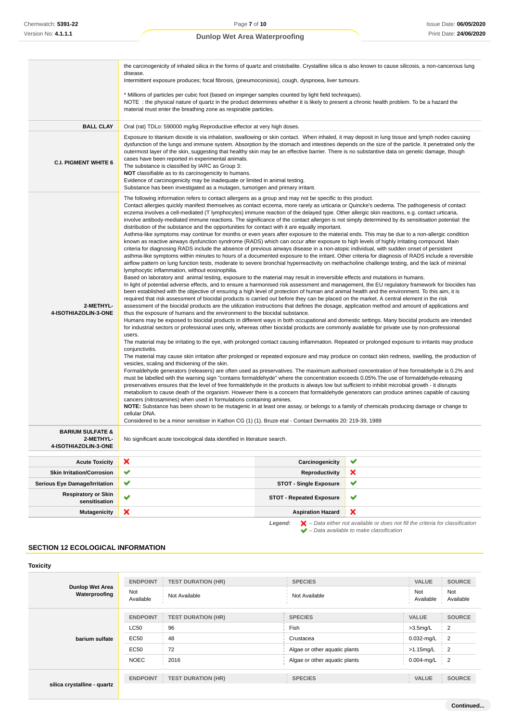|                                             | the carcinogenicity of inhaled silica in the forms of quartz and cristobalite. Crystalline silica is also known to cause silicosis, a non-cancerous lung<br>disease.                                                                                                                                                                                                                                                                                                                                                                                                                                                                                                                                                                                                                                                                                                                                                                                                                                                                                                                                                                                                                                                                                                                                                                                                                                                                                                                                                                                                                                                                                                                                                                                                                                                                                                                                                                                                                                                                                                                                                                                                                                                                                                                                                                                                                                                                                                                                                                                                                                                                                                                                                                                                                                                                                                                                                                                                                                                                                                                                                                                                                                                                                                                                                                                                                                                                                                                                                                                                                                                                                                                                                                                                                                                                                                                                         |   |  |
|---------------------------------------------|--------------------------------------------------------------------------------------------------------------------------------------------------------------------------------------------------------------------------------------------------------------------------------------------------------------------------------------------------------------------------------------------------------------------------------------------------------------------------------------------------------------------------------------------------------------------------------------------------------------------------------------------------------------------------------------------------------------------------------------------------------------------------------------------------------------------------------------------------------------------------------------------------------------------------------------------------------------------------------------------------------------------------------------------------------------------------------------------------------------------------------------------------------------------------------------------------------------------------------------------------------------------------------------------------------------------------------------------------------------------------------------------------------------------------------------------------------------------------------------------------------------------------------------------------------------------------------------------------------------------------------------------------------------------------------------------------------------------------------------------------------------------------------------------------------------------------------------------------------------------------------------------------------------------------------------------------------------------------------------------------------------------------------------------------------------------------------------------------------------------------------------------------------------------------------------------------------------------------------------------------------------------------------------------------------------------------------------------------------------------------------------------------------------------------------------------------------------------------------------------------------------------------------------------------------------------------------------------------------------------------------------------------------------------------------------------------------------------------------------------------------------------------------------------------------------------------------------------------------------------------------------------------------------------------------------------------------------------------------------------------------------------------------------------------------------------------------------------------------------------------------------------------------------------------------------------------------------------------------------------------------------------------------------------------------------------------------------------------------------------------------------------------------------------------------------------------------------------------------------------------------------------------------------------------------------------------------------------------------------------------------------------------------------------------------------------------------------------------------------------------------------------------------------------------------------------------------------------------------------------------------------------------------------|---|--|
|                                             | Intermittent exposure produces; focal fibrosis, (pneumoconiosis), cough, dyspnoea, liver tumours.                                                                                                                                                                                                                                                                                                                                                                                                                                                                                                                                                                                                                                                                                                                                                                                                                                                                                                                                                                                                                                                                                                                                                                                                                                                                                                                                                                                                                                                                                                                                                                                                                                                                                                                                                                                                                                                                                                                                                                                                                                                                                                                                                                                                                                                                                                                                                                                                                                                                                                                                                                                                                                                                                                                                                                                                                                                                                                                                                                                                                                                                                                                                                                                                                                                                                                                                                                                                                                                                                                                                                                                                                                                                                                                                                                                                            |   |  |
|                                             | * Millions of particles per cubic foot (based on impinger samples counted by light field techniques).<br>NOTE: the physical nature of quartz in the product determines whether it is likely to present a chronic health problem. To be a hazard the<br>material must enter the breathing zone as respirable particles.                                                                                                                                                                                                                                                                                                                                                                                                                                                                                                                                                                                                                                                                                                                                                                                                                                                                                                                                                                                                                                                                                                                                                                                                                                                                                                                                                                                                                                                                                                                                                                                                                                                                                                                                                                                                                                                                                                                                                                                                                                                                                                                                                                                                                                                                                                                                                                                                                                                                                                                                                                                                                                                                                                                                                                                                                                                                                                                                                                                                                                                                                                                                                                                                                                                                                                                                                                                                                                                                                                                                                                                       |   |  |
| <b>BALL CLAY</b>                            | Oral (rat) TDLo: 590000 mg/kg Reproductive effector at very high doses.                                                                                                                                                                                                                                                                                                                                                                                                                                                                                                                                                                                                                                                                                                                                                                                                                                                                                                                                                                                                                                                                                                                                                                                                                                                                                                                                                                                                                                                                                                                                                                                                                                                                                                                                                                                                                                                                                                                                                                                                                                                                                                                                                                                                                                                                                                                                                                                                                                                                                                                                                                                                                                                                                                                                                                                                                                                                                                                                                                                                                                                                                                                                                                                                                                                                                                                                                                                                                                                                                                                                                                                                                                                                                                                                                                                                                                      |   |  |
| <b>C.I. PIGMENT WHITE 6</b>                 | Exposure to titanium dioxide is via inhalation, swallowing or skin contact. When inhaled, it may deposit in lung tissue and lymph nodes causing<br>dysfunction of the lungs and immune system. Absorption by the stomach and intestines depends on the size of the particle. It penetrated only the<br>outermost layer of the skin, suggesting that healthy skin may be an effective barrier. There is no substantive data on genetic damage, though<br>cases have been reported in experimental animals.<br>The substance is classified by IARC as Group 3:<br>NOT classifiable as to its carcinogenicity to humans.<br>Evidence of carcinogenicity may be inadequate or limited in animal testing.<br>Substance has been investigated as a mutagen, tumorigen and primary irritant.                                                                                                                                                                                                                                                                                                                                                                                                                                                                                                                                                                                                                                                                                                                                                                                                                                                                                                                                                                                                                                                                                                                                                                                                                                                                                                                                                                                                                                                                                                                                                                                                                                                                                                                                                                                                                                                                                                                                                                                                                                                                                                                                                                                                                                                                                                                                                                                                                                                                                                                                                                                                                                                                                                                                                                                                                                                                                                                                                                                                                                                                                                                        |   |  |
| 2-METHYL-<br>4-ISOTHIAZOLIN-3-ONE           | The following information refers to contact allergens as a group and may not be specific to this product.<br>Contact allergies quickly manifest themselves as contact eczema, more rarely as urticaria or Quincke's oedema. The pathogenesis of contact<br>eczema involves a cell-mediated (T lymphocytes) immune reaction of the delayed type. Other allergic skin reactions, e.g. contact urticaria,<br>involve antibody-mediated immune reactions. The significance of the contact allergen is not simply determined by its sensitisation potential: the<br>distribution of the substance and the opportunities for contact with it are equally important.<br>Asthma-like symptoms may continue for months or even years after exposure to the material ends. This may be due to a non-allergic condition<br>known as reactive airways dysfunction syndrome (RADS) which can occur after exposure to high levels of highly irritating compound. Main<br>criteria for diagnosing RADS include the absence of previous airways disease in a non-atopic individual, with sudden onset of persistent<br>asthma-like symptoms within minutes to hours of a documented exposure to the irritant. Other criteria for diagnosis of RADS include a reversible<br>airflow pattern on lung function tests, moderate to severe bronchial hyperreactivity on methacholine challenge testing, and the lack of minimal<br>lymphocytic inflammation, without eosinophilia.<br>Based on laboratory and animal testing, exposure to the material may result in irreversible effects and mutations in humans.<br>In light of potential adverse effects, and to ensure a harmonised risk assessment and management, the EU regulatory framework for biocides has<br>been established with the objective of ensuring a high level of protection of human and animal health and the environment. To this aim, it is<br>required that risk assessment of biocidal products is carried out before they can be placed on the market. A central element in the risk<br>assessment of the biocidal products are the utilization instructions that defines the dosage, application method and amount of applications and<br>thus the exposure of humans and the environment to the biocidal substance.<br>Humans may be exposed to biocidal products in different ways in both occupational and domestic settings. Many biocidal products are intended<br>for industrial sectors or professional uses only, whereas other biocidal products are commonly available for private use by non-professional<br>users.<br>The material may be irritating to the eye, with prolonged contact causing inflammation. Repeated or prolonged exposure to irritants may produce<br>conjunctivitis.<br>The material may cause skin irritation after prolonged or repeated exposure and may produce on contact skin redness, swelling, the production of<br>vesicles, scaling and thickening of the skin.<br>Formaldehyde generators (releasers) are often used as preservatives. The maximum authorised concentration of free formaldehyde is 0.2% and<br>must be labelled with the warning sign "contains formaldehyde" where the concentration exceeds 0.05%. The use of formaldehyde-releasing<br>preservatives ensures that the level of free formaldehyde in the products is always low but sufficient to inhibit microbial growth - it disrupts<br>metabolism to cause death of the organism. However there is a concern that formaldehyde generators can produce amines capable of causing<br>cancers (nitrosamines) when used in formulations containing amines.<br>NOTE: Substance has been shown to be mutagenic in at least one assay, or belongs to a family of chemicals producing damage or change to<br>cellular DNA.<br>Considered to be a minor sensitiser in Kathon CG (1) (1). Bruze etal - Contact Dermatitis 20: 219-39, 1989 |   |  |
| <b>BARIUM SULFATE &amp;</b><br>2-METHYL-    | No significant acute toxicological data identified in literature search.                                                                                                                                                                                                                                                                                                                                                                                                                                                                                                                                                                                                                                                                                                                                                                                                                                                                                                                                                                                                                                                                                                                                                                                                                                                                                                                                                                                                                                                                                                                                                                                                                                                                                                                                                                                                                                                                                                                                                                                                                                                                                                                                                                                                                                                                                                                                                                                                                                                                                                                                                                                                                                                                                                                                                                                                                                                                                                                                                                                                                                                                                                                                                                                                                                                                                                                                                                                                                                                                                                                                                                                                                                                                                                                                                                                                                                     |   |  |
| 4-ISOTHIAZOLIN-3-ONE                        |                                                                                                                                                                                                                                                                                                                                                                                                                                                                                                                                                                                                                                                                                                                                                                                                                                                                                                                                                                                                                                                                                                                                                                                                                                                                                                                                                                                                                                                                                                                                                                                                                                                                                                                                                                                                                                                                                                                                                                                                                                                                                                                                                                                                                                                                                                                                                                                                                                                                                                                                                                                                                                                                                                                                                                                                                                                                                                                                                                                                                                                                                                                                                                                                                                                                                                                                                                                                                                                                                                                                                                                                                                                                                                                                                                                                                                                                                                              |   |  |
| <b>Acute Toxicity</b>                       | ×<br>Carcinogenicity                                                                                                                                                                                                                                                                                                                                                                                                                                                                                                                                                                                                                                                                                                                                                                                                                                                                                                                                                                                                                                                                                                                                                                                                                                                                                                                                                                                                                                                                                                                                                                                                                                                                                                                                                                                                                                                                                                                                                                                                                                                                                                                                                                                                                                                                                                                                                                                                                                                                                                                                                                                                                                                                                                                                                                                                                                                                                                                                                                                                                                                                                                                                                                                                                                                                                                                                                                                                                                                                                                                                                                                                                                                                                                                                                                                                                                                                                         | ✔ |  |
| <b>Skin Irritation/Corrosion</b>            | ✔<br>Reproductivity                                                                                                                                                                                                                                                                                                                                                                                                                                                                                                                                                                                                                                                                                                                                                                                                                                                                                                                                                                                                                                                                                                                                                                                                                                                                                                                                                                                                                                                                                                                                                                                                                                                                                                                                                                                                                                                                                                                                                                                                                                                                                                                                                                                                                                                                                                                                                                                                                                                                                                                                                                                                                                                                                                                                                                                                                                                                                                                                                                                                                                                                                                                                                                                                                                                                                                                                                                                                                                                                                                                                                                                                                                                                                                                                                                                                                                                                                          | × |  |
| <b>Serious Eye Damage/Irritation</b>        | ✔<br><b>STOT - Single Exposure</b>                                                                                                                                                                                                                                                                                                                                                                                                                                                                                                                                                                                                                                                                                                                                                                                                                                                                                                                                                                                                                                                                                                                                                                                                                                                                                                                                                                                                                                                                                                                                                                                                                                                                                                                                                                                                                                                                                                                                                                                                                                                                                                                                                                                                                                                                                                                                                                                                                                                                                                                                                                                                                                                                                                                                                                                                                                                                                                                                                                                                                                                                                                                                                                                                                                                                                                                                                                                                                                                                                                                                                                                                                                                                                                                                                                                                                                                                           | ✔ |  |
| <b>Respiratory or Skin</b><br>sensitisation | ✔<br><b>STOT - Repeated Exposure</b>                                                                                                                                                                                                                                                                                                                                                                                                                                                                                                                                                                                                                                                                                                                                                                                                                                                                                                                                                                                                                                                                                                                                                                                                                                                                                                                                                                                                                                                                                                                                                                                                                                                                                                                                                                                                                                                                                                                                                                                                                                                                                                                                                                                                                                                                                                                                                                                                                                                                                                                                                                                                                                                                                                                                                                                                                                                                                                                                                                                                                                                                                                                                                                                                                                                                                                                                                                                                                                                                                                                                                                                                                                                                                                                                                                                                                                                                         | ✔ |  |
| <b>Mutagenicity</b>                         | ×<br><b>Aspiration Hazard</b>                                                                                                                                                                                                                                                                                                                                                                                                                                                                                                                                                                                                                                                                                                                                                                                                                                                                                                                                                                                                                                                                                                                                                                                                                                                                                                                                                                                                                                                                                                                                                                                                                                                                                                                                                                                                                                                                                                                                                                                                                                                                                                                                                                                                                                                                                                                                                                                                                                                                                                                                                                                                                                                                                                                                                                                                                                                                                                                                                                                                                                                                                                                                                                                                                                                                                                                                                                                                                                                                                                                                                                                                                                                                                                                                                                                                                                                                                | × |  |

**Legend:**  $\mathbf{X}$  – Data either not available or does not fill the criteria for classification – Data available to make classification

# **SECTION 12 ECOLOGICAL INFORMATION**

| <b>Toxicity</b>                         |                         |                           |                               |                  |                  |
|-----------------------------------------|-------------------------|---------------------------|-------------------------------|------------------|------------------|
| <b>Dunlop Wet Area</b><br>Waterproofing | <b>ENDPOINT</b>         | <b>TEST DURATION (HR)</b> | <b>SPECIES</b>                | <b>VALUE</b>     | <b>SOURCE</b>    |
|                                         | <b>Not</b><br>Available | Not Available             | Not Available                 | Not<br>Available | Not<br>Available |
|                                         | <b>ENDPOINT</b>         | <b>TEST DURATION (HR)</b> | <b>SPECIES</b>                | <b>VALUE</b>     | <b>SOURCE</b>    |
| barium sulfate                          | LC50                    | 96                        | Fish                          | $>3.5$ mg/L      | $\overline{2}$   |
|                                         | EC50                    | 48                        | Crustacea                     | $0.032$ -mg/L    | $\overline{2}$   |
|                                         | <b>EC50</b>             | 72                        | Algae or other aquatic plants | $>1.15$ mg/L     | $\overline{2}$   |
|                                         | <b>NOEC</b>             | 2016                      | Algae or other aquatic plants | 0.004-mg/L       | $\overline{2}$   |
|                                         | <b>ENDPOINT</b>         | <b>TEST DURATION (HR)</b> | <b>SPECIES</b>                | <b>VALUE</b>     | <b>SOURCE</b>    |
| silica crystalline - quartz             |                         |                           |                               |                  |                  |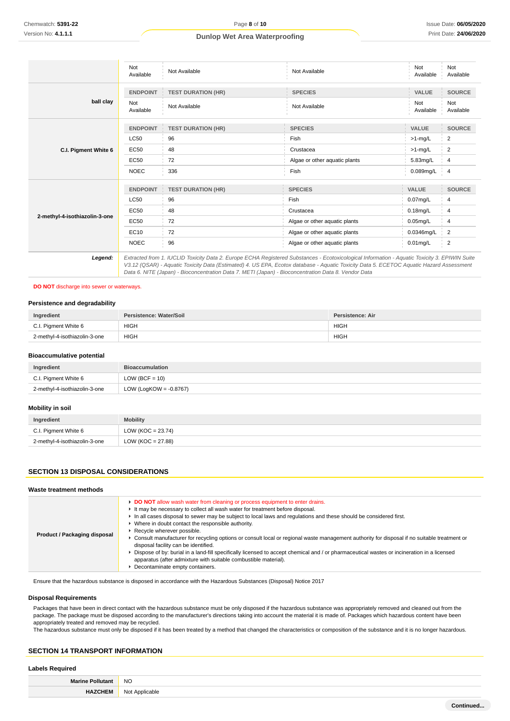|                               | Not<br>Available | Not Available             | Not Available                                                                                                                                                                                                                                                                                                                                                                                                                                                                                                    | Not<br>Available | Not<br>Available |
|-------------------------------|------------------|---------------------------|------------------------------------------------------------------------------------------------------------------------------------------------------------------------------------------------------------------------------------------------------------------------------------------------------------------------------------------------------------------------------------------------------------------------------------------------------------------------------------------------------------------|------------------|------------------|
|                               | <b>ENDPOINT</b>  | <b>TEST DURATION (HR)</b> | <b>SPECIES</b>                                                                                                                                                                                                                                                                                                                                                                                                                                                                                                   | <b>VALUE</b>     | <b>SOURCE</b>    |
| ball clay                     | Not<br>Available | Not Available             | Not Available                                                                                                                                                                                                                                                                                                                                                                                                                                                                                                    | Not<br>Available | Not<br>Available |
|                               | <b>ENDPOINT</b>  | <b>TEST DURATION (HR)</b> | <b>SPECIES</b>                                                                                                                                                                                                                                                                                                                                                                                                                                                                                                   | <b>VALUE</b>     | <b>SOURCE</b>    |
|                               | <b>LC50</b>      | 96                        | Fish                                                                                                                                                                                                                                                                                                                                                                                                                                                                                                             | $>1$ -mg/L       | 2                |
| C.I. Pigment White 6          | <b>EC50</b>      | 48                        | Crustacea                                                                                                                                                                                                                                                                                                                                                                                                                                                                                                        | $>1$ -mg/L       | 2                |
|                               | <b>EC50</b>      | 72                        | Algae or other aquatic plants                                                                                                                                                                                                                                                                                                                                                                                                                                                                                    | 5.83mg/L         | $\overline{4}$   |
|                               | <b>NOEC</b>      | 336                       | Fish                                                                                                                                                                                                                                                                                                                                                                                                                                                                                                             | $0.089$ mg/L     | $-4$             |
|                               | <b>ENDPOINT</b>  | <b>TEST DURATION (HR)</b> | <b>SPECIES</b>                                                                                                                                                                                                                                                                                                                                                                                                                                                                                                   | <b>VALUE</b>     | <b>SOURCE</b>    |
|                               | <b>LC50</b>      | 96                        | Fish                                                                                                                                                                                                                                                                                                                                                                                                                                                                                                             | $0.07$ mg/L      | 4                |
| 2-methyl-4-isothiazolin-3-one | <b>EC50</b>      | 48                        | Crustacea                                                                                                                                                                                                                                                                                                                                                                                                                                                                                                        | $0.18$ mg/L      | 4                |
|                               | <b>EC50</b>      | 72                        | Algae or other aquatic plants                                                                                                                                                                                                                                                                                                                                                                                                                                                                                    | $0.05$ mg/L      | 4                |
|                               | EC10             | 72                        | Algae or other aquatic plants                                                                                                                                                                                                                                                                                                                                                                                                                                                                                    | 0.0346mg/L       | $\overline{2}$   |
|                               | <b>NOEC</b>      | 96                        | Algae or other aquatic plants                                                                                                                                                                                                                                                                                                                                                                                                                                                                                    | $0.01$ mg/L      | 2                |
| Legend:                       |                  |                           | Extracted from 1. IUCLID Toxicity Data 2. Europe ECHA Registered Substances - Ecotoxicological Information - Aquatic Toxicity 3. EPIWIN Suite<br>$\overline{10}$ $\overline{10}$ $\overline{10}$ $\overline{10}$ $\overline{11}$ $\overline{10}$ $\overline{10}$ $\overline{10}$ $\overline{10}$ $\overline{10}$ $\overline{10}$ $\overline{10}$ $\overline{10}$ $\overline{10}$ $\overline{10}$ $\overline{10}$ $\overline{10}$ $\overline{10}$ $\overline{10}$ $\overline{10}$ $\overline{10}$ $\overline{10}$ |                  |                  |

V3.12 (QSAR) - Aquatic Toxicity Data (Estimated) 4. US EPA, Ecotox database - Aquatic Toxicity Data 5. ECETOC Aquatic Hazard Assessment Data 6. NITE (Japan) - Bioconcentration Data 7. METI (Japan) - Bioconcentration Data 8. Vendor Data

# **DO NOT** discharge into sewer or waterways.

# **Persistence and degradability**

| Ingredient                    | Persistence: Water/Soil | Persistence: Air |
|-------------------------------|-------------------------|------------------|
| C.I. Pigment White 6          | <b>HIGH</b>             | <b>HIGH</b>      |
| 2-methyl-4-isothiazolin-3-one | <b>HIGH</b>             | <b>HIGH</b>      |

### **Bioaccumulative potential**

| Ingredient                    | <b>Bioaccumulation</b>    |
|-------------------------------|---------------------------|
| C.I. Pigment White 6          | LOW (BCF = $10$ )         |
| 2-methyl-4-isothiazolin-3-one | LOW (LogKOW = $-0.8767$ ) |

### **Mobility in soil**

| Ingredient                    | <b>Mobility</b>      |
|-------------------------------|----------------------|
| C.I. Pigment White 6          | LOW (KOC = $23.74$ ) |
| 2-methyl-4-isothiazolin-3-one | LOW (KOC = 27.88)    |

# **SECTION 13 DISPOSAL CONSIDERATIONS**

### **Waste treatment methods**

Ensure that the hazardous substance is disposed in accordance with the Hazardous Substances (Disposal) Notice 2017

### **Disposal Requirements**

Packages that have been in direct contact with the hazardous substance must be only disposed if the hazardous substance was appropriately removed and cleaned out from the package. The package must be disposed according to the manufacturer's directions taking into account the material it is made of. Packages which hazardous content have been appropriately treated and removed may be recycled.

The hazardous substance must only be disposed if it has been treated by a method that changed the characteristics or composition of the substance and it is no longer hazardous.

# **SECTION 14 TRANSPORT INFORMATION**

# **Labels Required**

| <b>Marine Pollut</b> | <b>NO</b>      |  |
|----------------------|----------------|--|
|                      | Not Applicable |  |
|                      |                |  |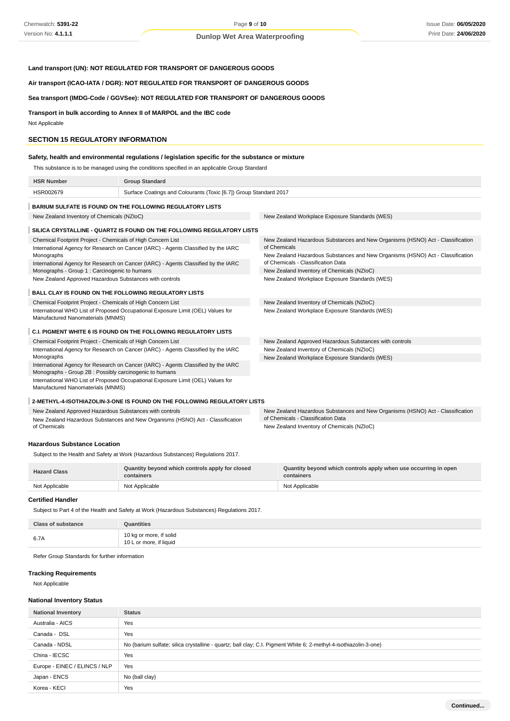# **Land transport (UN): NOT REGULATED FOR TRANSPORT OF DANGEROUS GOODS**

**Air transport (ICAO-IATA / DGR): NOT REGULATED FOR TRANSPORT OF DANGEROUS GOODS**

# **Sea transport (IMDG-Code / GGVSee): NOT REGULATED FOR TRANSPORT OF DANGEROUS GOODS**

**Transport in bulk according to Annex II of MARPOL and the IBC code**

Not Applicable

## **SECTION 15 REGULATORY INFORMATION**

# **Safety, health and environmental regulations / legislation specific for the substance or mixture**

This substance is to be managed using the conditions specified in an applicable Group Standard

| <b>HSR Number</b>                                                                                                    | <b>Group Standard</b>                                                              |                                                                                                                      |
|----------------------------------------------------------------------------------------------------------------------|------------------------------------------------------------------------------------|----------------------------------------------------------------------------------------------------------------------|
| HSR002679                                                                                                            | Surface Coatings and Colourants (Toxic [6.7]) Group Standard 2017                  |                                                                                                                      |
|                                                                                                                      | <b>BARIUM SULFATE IS FOUND ON THE FOLLOWING REGULATORY LISTS</b>                   |                                                                                                                      |
| New Zealand Inventory of Chemicals (NZIoC)                                                                           |                                                                                    | New Zealand Workplace Exposure Standards (WES)                                                                       |
|                                                                                                                      | SILICA CRYSTALLINE - QUARTZ IS FOUND ON THE FOLLOWING REGULATORY LISTS             |                                                                                                                      |
| Chemical Footprint Project - Chemicals of High Concern List                                                          | International Agency for Research on Cancer (IARC) - Agents Classified by the IARC | New Zealand Hazardous Substances and New Organisms (HSNO) Act - Classification<br>of Chemicals                       |
| Monographs                                                                                                           | International Agency for Research on Cancer (IARC) - Agents Classified by the IARC | New Zealand Hazardous Substances and New Organisms (HSNO) Act - Classification<br>of Chemicals - Classification Data |
| Monographs - Group 1 : Carcinogenic to humans                                                                        |                                                                                    | New Zealand Inventory of Chemicals (NZIoC)                                                                           |
| New Zealand Approved Hazardous Substances with controls                                                              |                                                                                    | New Zealand Workplace Exposure Standards (WES)                                                                       |
| <b>BALL CLAY IS FOUND ON THE FOLLOWING REGULATORY LISTS</b>                                                          |                                                                                    |                                                                                                                      |
| Chemical Footprint Project - Chemicals of High Concern List                                                          |                                                                                    | New Zealand Inventory of Chemicals (NZIoC)                                                                           |
| International WHO List of Proposed Occupational Exposure Limit (OEL) Values for<br>Manufactured Nanomaterials (MNMS) |                                                                                    | New Zealand Workplace Exposure Standards (WES)                                                                       |
|                                                                                                                      | <b>C.I. PIGMENT WHITE 6 IS FOUND ON THE FOLLOWING REGULATORY LISTS</b>             |                                                                                                                      |
| Chemical Footprint Project - Chemicals of High Concern List                                                          |                                                                                    | New Zealand Approved Hazardous Substances with controls                                                              |
|                                                                                                                      | International Agency for Research on Cancer (IARC) - Agents Classified by the IARC | New Zealand Inventory of Chemicals (NZIoC)                                                                           |
| Monographs                                                                                                           |                                                                                    | New Zealand Workplace Exposure Standards (WES)                                                                       |
| Monographs - Group 2B : Possibly carcinogenic to humans                                                              | International Agency for Research on Cancer (IARC) - Agents Classified by the IARC |                                                                                                                      |
| Manufactured Nanomaterials (MNMS)                                                                                    | International WHO List of Proposed Occupational Exposure Limit (OEL) Values for    |                                                                                                                      |
|                                                                                                                      | 2-METHYL-4-ISOTHIAZOLIN-3-ONE IS FOUND ON THE FOLLOWING REGULATORY LISTS           |                                                                                                                      |

#### New Zealand Approved Hazardous Substances with controls New Zealand Hazardous Substances and New Organisms (HSNO) Act - Classification of Chemicals New Zealand Hazardous Substances and New Organisms (HSNO) Act - Classification of Chemicals - Classification Data New Zealand Inventory of Chemicals (NZIoC)

### **Hazardous Substance Location**

Subject to the Health and Safety at Work (Hazardous Substances) Regulations 2017.

| <b>Hazard Class</b> | Quantity beyond which controls apply for closed<br>containers | Quantity beyond which controls apply when use occurring in open<br>containers |
|---------------------|---------------------------------------------------------------|-------------------------------------------------------------------------------|
| Not Applicable      | Not Applicable                                                | Not Applicable                                                                |

# **Certified Handler**

Subject to Part 4 of the Health and Safety at Work (Hazardous Substances) Regulations 2017.

| <b>Class of substance</b> | <b>Quantities</b>                                  |
|---------------------------|----------------------------------------------------|
| 6.7A                      | 10 kg or more, if solid<br>10 L or more, if liquid |

Refer Group Standards for further information

# **Tracking Requirements**

Not Applicable

### **National Inventory Status**

| <b>National Inventory</b>     | <b>Status</b>                                                                                                    |  |
|-------------------------------|------------------------------------------------------------------------------------------------------------------|--|
| Australia - AICS              | Yes                                                                                                              |  |
| Canada - DSL                  | Yes                                                                                                              |  |
| Canada - NDSL                 | No (barium sulfate; silica crystalline - quartz; ball clay; C.I. Pigment White 6; 2-methyl-4-isothiazolin-3-one) |  |
| China - IECSC                 | Yes                                                                                                              |  |
| Europe - EINEC / ELINCS / NLP | Yes                                                                                                              |  |
| Japan - ENCS                  | No (ball clay)                                                                                                   |  |
| Korea - KECI                  | Yes                                                                                                              |  |